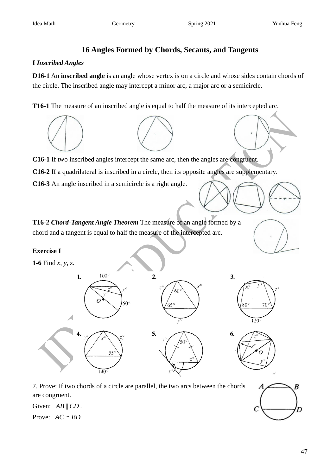# **16 Angles Formed by Chords, Secants, and Tangents**

#### **I** *Inscribed Angles*

**D16-1** An **inscribed angle** is an angle whose vertex is on a circle and whose sides contain chords of the circle. The inscribed angle may intercept a minor arc, a major arc or a semicircle.

**T16-1** The measure of an inscribed angle is equal to half the measure of its intercepted arc.



**C16-1** If two inscribed angles intercept the same arc, then the angles are congruent.

**C16-2** If a quadrilateral is inscribed in a circle, then its opposite angles are supplementary.

**C16-3** An angle inscribed in a semicircle is a right angle.

**T16-2** *Chord-Tangent Angle Theorem* The measure of an angle formed by a chord and a tangent is equal to half the measure of the intercepted arc.

### **Exercise I**

**1-6** Find *x*, *y*, *z*.



7. Prove: If two chords of a circle are parallel, the two arcs between the chords are congruent.

Given:  $AB \parallel CD$ .

Prove:  $AC \cong BD$ 

B

D

Α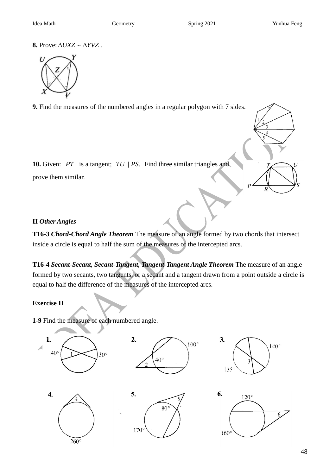**8.** Prove:  $\triangle UXZ \sim \triangle YVZ$ .



**9.** Find the measures of the numbered angles in a regular polygon with 7 sides.

**10.** Given: PT is a tangent; TU || PS. Find three similar triangles and prove them similar.

### **II** *Other Angles*

**T16-3** *Chord-Chord Angle Theorem* The measure of an angle formed by two chords that intersect inside a circle is equal to half the sum of the measures of the intercepted arcs.

**T16-4** *Secant-Secant, Secant-Tangent, Tangent-Tangent Angle Theorem* The measure of an angle formed by two secants, two tangents, or a secant and a tangent drawn from a point outside a circle is equal to half the difference of the measures of the intercepted arcs.

## **Exercise II**

**1-9** Find the measure of each numbered angle.

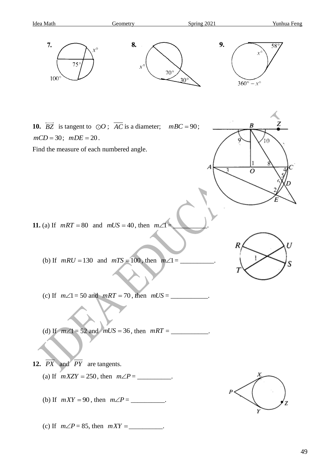

(c) If  $m\angle P = 85$ , then  $mXY =$ \_\_\_\_\_\_\_\_\_\_\_\_\_.